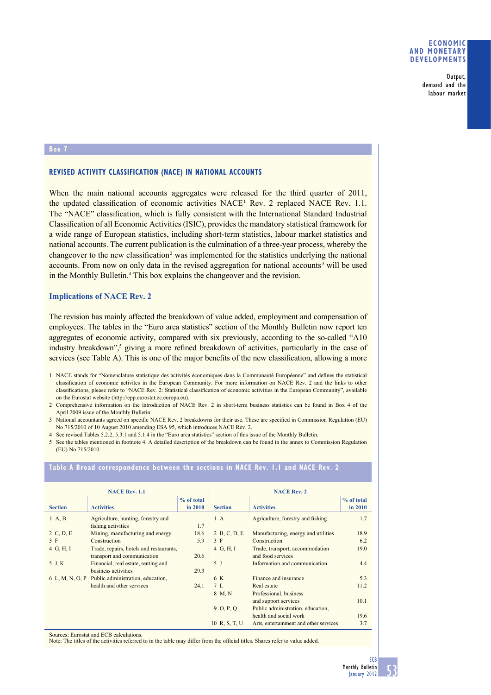#### **ECONOMIC AND MONETARY DEVELOPMENTS**

Output, demand and the labour market

#### **Box 7**

## **REVISED ACTIVITY CLASSIFICATION (NACE) IN NATIONAL ACCOUNTS**

When the main national accounts aggregates were released for the third quarter of 2011, the updated classification of economic activities  $NACE<sup>1</sup>$  Rev. 2 replaced NACE Rev. 1.1. The "NACE" classification, which is fully consistent with the International Standard Industrial Classification of all Economic Activities (ISIC), provides the mandatory statistical framework for a wide range of European statistics, including short-term statistics, labour market statistics and national accounts. The current publication is the culmination of a three-year process, whereby the changeover to the new classification<sup>2</sup> was implemented for the statistics underlying the national accounts. From now on only data in the revised aggregation for national accounts<sup>3</sup> will be used in the Monthly Bulletin.<sup>4</sup> This box explains the changeover and the revision.

#### **Implications of NACE Rev. 2**

The revision has mainly affected the breakdown of value added, employment and compensation of employees. The tables in the "Euro area statistics" section of the Monthly Bulletin now report ten aggregates of economic activity, compared with six previously, according to the so-called "A10 industry breakdown",<sup>5</sup> giving a more refined breakdown of activities, particularly in the case of services (see Table A). This is one of the major benefits of the new classification, allowing a more

1 NACE stands for "Nomenclature statistique des activités économiques dans la Communauté Européenne" and defines the statistical classification of economic activites in the European Community. For more information on NACE Rev. 2 and the links to other classifications, please refer to "NACE Rev. 2: Statistical classification of economic activities in the European Community", available on the Eurostat website (http://epp.eurostat.ec.europa.eu).

2 Comprehensive information on the introduction of NACE Rev. 2 in short-term business statistics can be found in Box 4 of the April 2009 issue of the Monthly Bulletin.

3 National accountants agreed on specific NACE Rev. 2 breakdowns for their use. These are specified in Commission Regulation (EU) No 715/2010 of 10 August 2010 amending ESA 95, which introduces NACE Rev. 2.

4 See revised Tables 5.2.2, 5.3.1 and 5.1.4 in the "Euro area statistics" section of this issue of the Monthly Bulletin.

5 See the tables mentioned in footnote 4. A detailed description of the breakdown can be found in the annex to Commission Regulation (EU) No 715/2010.

| <b>NACE Rev. 1.1</b> |                                                                        |              | <b>NACE Rev. 2</b> |                                                      |            |
|----------------------|------------------------------------------------------------------------|--------------|--------------------|------------------------------------------------------|------------|
|                      |                                                                        | $%$ of total |                    |                                                      | % of total |
| <b>Section</b>       | <b>Activities</b>                                                      | in 2010      | <b>Section</b>     | <b>Activities</b>                                    | in 2010    |
| $1 \text{ A}$ , B    | Agriculture, hunting, forestry and<br>fishing activities               | 1.7          | $1\,A$             | Agriculture, forestry and fishing                    | 1.7        |
| 2 C, D, E            | Mining, manufacturing and energy                                       | 18.6         | 2 B, C, D, E       | Manufacturing, energy and utilities                  | 18.9       |
| 3 F                  | Construction                                                           | 5.9          | 3 F                | Construction                                         | 6.2        |
| 4 G, H, I            | Trade, repairs, hotels and restaurants,<br>transport and communication | 20.6         | $4\,$ G, H, I      | Trade, transport, accommodation<br>and food services | 19.0       |
| 5 J, K               | Financial, real estate, renting and<br>business activities             | 29.3         | 5 <sub>J</sub>     | Information and communication                        | 4.4        |
|                      | 6 L, M, N, O, P Public administration, education,                      |              | 6 K                | Finance and insurance                                | 5.3        |
|                      | health and other services                                              | 24.1         | 7L                 | Real estate                                          | 11.2       |
|                      |                                                                        |              | 8 M, N             | Professional, business                               |            |
|                      |                                                                        |              |                    | and support services                                 | 10.1       |
|                      |                                                                        |              | 9, 0, P, O         | Public administration, education,                    |            |
|                      |                                                                        |              |                    | health and social work                               | 19.6       |
|                      |                                                                        |              | 10 R, S, T, U      | Arts, entertainment and other services               | 3.7        |

#### **Table A Broad correspondence between the sections in NACE Rev. 1.1 and NACE Rev. 2**

Sources: Eurostat and ECB calculations.

Note: The titles of the activities referred to in the table may differ from the official titles. Shares refer to value added.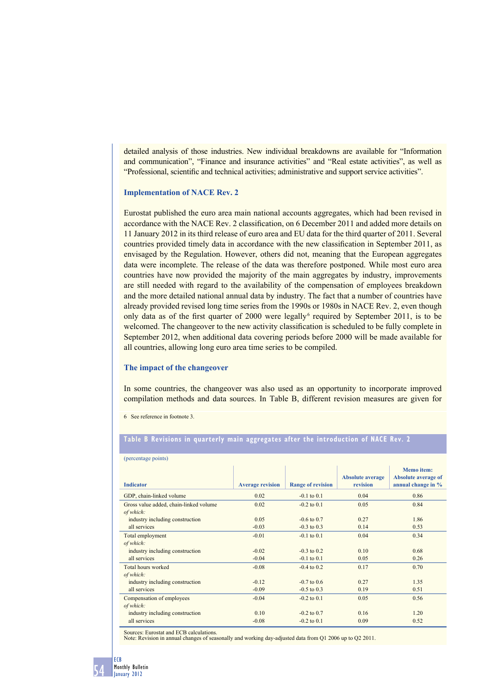detailed analysis of those industries. New individual breakdowns are available for "Information and communication", "Finance and insurance activities" and "Real estate activities", as well as "Professional, scientific and technical activities; administrative and support service activities".

#### **Implementation of NACE Rev. 2**

Eurostat published the euro area main national accounts aggregates, which had been revised in accordance with the NACE Rev. 2 classification, on 6 December 2011 and added more details on 11 January 2012 in its third release of euro area and EU data for the third quarter of 2011. Several countries provided timely data in accordance with the new classification in September 2011, as envisaged by the Regulation. However, others did not, meaning that the European aggregates data were incomplete. The release of the data was therefore postponed. While most euro area countries have now provided the majority of the main aggregates by industry, improvements are still needed with regard to the availability of the compensation of employees breakdown and the more detailed national annual data by industry. The fact that a number of countries have already provided revised long time series from the 1990s or 1980s in NACE Rev. 2, even though only data as of the first quarter of 2000 were legally<sup>6</sup> required by September 2011, is to be welcomed. The changeover to the new activity classification is scheduled to be fully complete in September 2012, when additional data covering periods before 2000 will be made available for all countries, allowing long euro area time series to be compiled.

#### **The impact of the changeover**

In some countries, the changeover was also used as an opportunity to incorporate improved compilation methods and data sources. In Table B, different revision measures are given for

6 See reference in footnote 3.

# **Table B Revisions in quarterly main aggregates after the introduction of NACE Rev. 2**

| (percentage points)                    |                         |                          |                                     |                                                                       |  |  |  |  |
|----------------------------------------|-------------------------|--------------------------|-------------------------------------|-----------------------------------------------------------------------|--|--|--|--|
| <b>Indicator</b>                       | <b>Average revision</b> | <b>Range of revision</b> | <b>Absolute average</b><br>revision | <b>Memo</b> item:<br><b>Absolute average of</b><br>annual change in % |  |  |  |  |
| GDP, chain-linked volume               | 0.02                    | $-0.1$ to $0.1$          | 0.04                                | 0.86                                                                  |  |  |  |  |
| Gross value added, chain-linked volume | 0.02                    | $-0.2$ to $0.1$          | 0.05                                | 0.84                                                                  |  |  |  |  |
| of which:                              |                         |                          |                                     |                                                                       |  |  |  |  |
| industry including construction        | 0.05                    | $-0.6$ to 0.7            | 0.27                                | 1.86                                                                  |  |  |  |  |
| all services                           | $-0.03$                 | $-0.3$ to $0.3$          | 0.14                                | 0.53                                                                  |  |  |  |  |
| Total employment                       | $-0.01$                 | $-0.1$ to $0.1$          | 0.04                                | 0.34                                                                  |  |  |  |  |
| of which:                              |                         |                          |                                     |                                                                       |  |  |  |  |
| industry including construction        | $-0.02$                 | $-0.3$ to 0.2            | 0.10                                | 0.68                                                                  |  |  |  |  |
| all services                           | $-0.04$                 | $-0.1$ to $0.1$          | 0.05                                | 0.26                                                                  |  |  |  |  |
| Total hours worked                     | $-0.08$                 | $-0.4$ to 0.2            | 0.17                                | 0.70                                                                  |  |  |  |  |
| of which:                              |                         |                          |                                     |                                                                       |  |  |  |  |
| industry including construction        | $-0.12$                 | $-0.7$ to 0.6            | 0.27                                | 1.35                                                                  |  |  |  |  |
| all services                           | $-0.09$                 | $-0.5$ to 0.3            | 0.19                                | 0.51                                                                  |  |  |  |  |
| Compensation of employees              | $-0.04$                 | $-0.2$ to $0.1$          | 0.05                                | 0.56                                                                  |  |  |  |  |
| of which:                              |                         |                          |                                     |                                                                       |  |  |  |  |
| industry including construction        | 0.10                    | $-0.2$ to 0.7            | 0.16                                | 1.20                                                                  |  |  |  |  |
| all services                           | $-0.08$                 | $-0.2$ to $0.1$          | 0.09                                | 0.52                                                                  |  |  |  |  |

Sources: Eurostat and ECB calculations.

Note: Revision in annual changes of seasonally and working day-adjusted data from Q1 2006 up to Q2 2011.